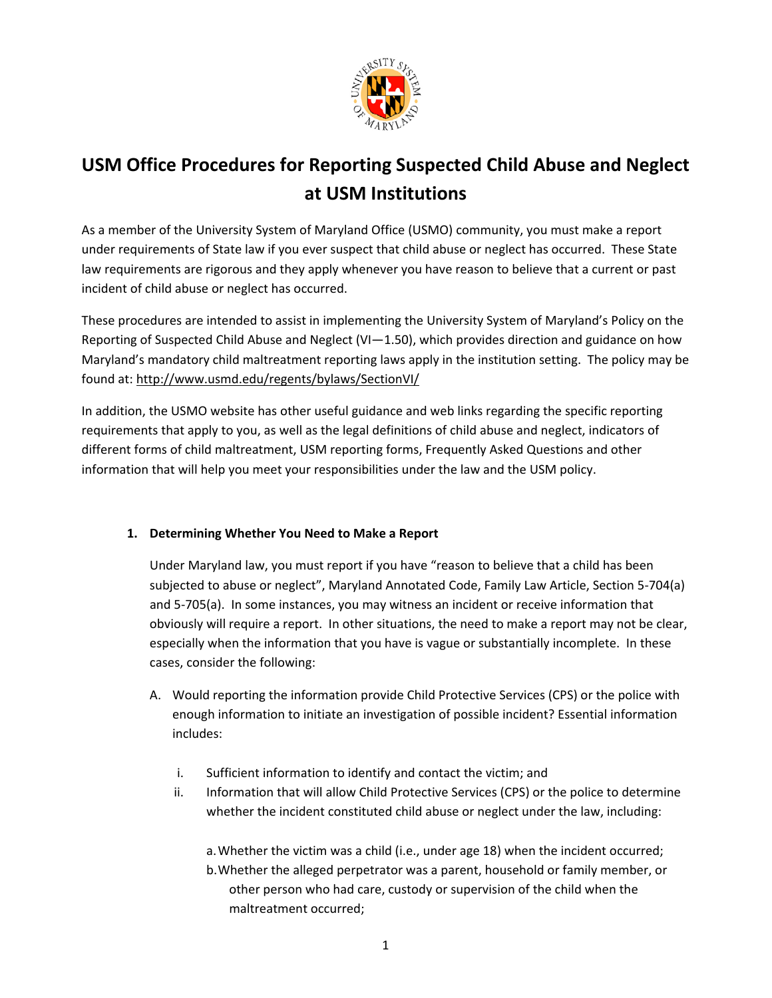

# **USM Office Procedures for Reporting Suspected Child Abuse and Neglect at USM Institutions**

As a member of the University System of Maryland Office (USMO) community, you must make a report under requirements of State law if you ever suspect that child abuse or neglect has occurred. These State law requirements are rigorous and they apply whenever you have reason to believe that a current or past incident of child abuse or neglect has occurred.

These procedures are intended to assist in implementing the University System of Maryland's Policy on the Reporting of Suspected Child Abuse and Neglect (VI-1.50), which provides direction and guidance on how Maryland's mandatory child maltreatment reporting laws apply in the institution setting. The policy may be found at: http://www.usmd.edu/regents/bylaws/SectionVI/

In addition, the USMO website has other useful guidance and web links regarding the specific reporting requirements that apply to you, as well as the legal definitions of child abuse and neglect, indicators of different forms of child maltreatment, USM reporting forms, Frequently Asked Questions and other information that will help you meet your responsibilities under the law and the USM policy.

## **1. Determining Whether You Need to Make a Report**

Under Maryland law, you must report if you have "reason to believe that a child has been subjected to abuse or neglect", Maryland Annotated Code, Family Law Article, Section 5‐704(a) and 5‐705(a). In some instances, you may witness an incident or receive information that obviously will require a report. In other situations, the need to make a report may not be clear, especially when the information that you have is vague or substantially incomplete. In these cases, consider the following:

- A. Would reporting the information provide Child Protective Services (CPS) or the police with enough information to initiate an investigation of possible incident? Essential information includes:
	- i. Sufficient information to identify and contact the victim; and
	- ii. Information that will allow Child Protective Services (CPS) or the police to determine whether the incident constituted child abuse or neglect under the law, including:

a.Whether the victim was a child (i.e., under age 18) when the incident occurred;

b.Whether the alleged perpetrator was a parent, household or family member, or other person who had care, custody or supervision of the child when the maltreatment occurred;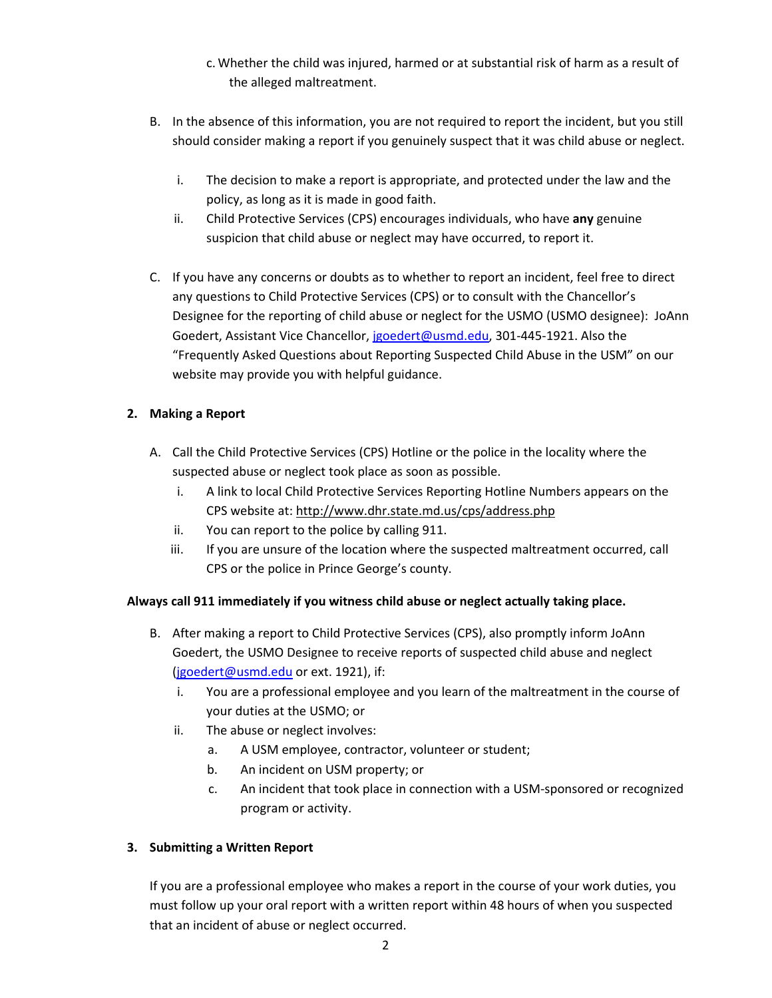- c.Whether the child was injured, harmed or at substantial risk of harm as a result of the alleged maltreatment.
- B. In the absence of this information, you are not required to report the incident, but you still should consider making a report if you genuinely suspect that it was child abuse or neglect.
	- i. The decision to make a report is appropriate, and protected under the law and the policy, as long as it is made in good faith.
	- ii. Child Protective Services (CPS) encourages individuals, who have **any** genuine suspicion that child abuse or neglect may have occurred, to report it.
- C. If you have any concerns or doubts as to whether to report an incident, feel free to direct any questions to Child Protective Services (CPS) or to consult with the Chancellor's Designee for the reporting of child abuse or neglect for the USMO (USMO designee): JoAnn Goedert, Assistant Vice Chancellor, jgoedert@usmd.edu, 301-445-1921. Also the "Frequently Asked Questions about Reporting Suspected Child Abuse in the USM" on our website may provide you with helpful guidance.

### **2. Making a Report**

- A. Call the Child Protective Services (CPS) Hotline or the police in the locality where the suspected abuse or neglect took place as soon as possible.
	- i. A link to local Child Protective Services Reporting Hotline Numbers appears on the CPS website at: http://www.dhr.state.md.us/cps/address.php
	- ii. You can report to the police by calling 911.
	- iii. If you are unsure of the location where the suspected maltreatment occurred, call CPS or the police in Prince George's county.

#### **Always call 911 immediately if you witness child abuse or neglect actually taking place.**

- B. After making a report to Child Protective Services (CPS), also promptly inform JoAnn Goedert, the USMO Designee to receive reports of suspected child abuse and neglect (jgoedert@usmd.edu or ext. 1921), if:
	- i. You are a professional employee and you learn of the maltreatment in the course of your duties at the USMO; or
	- ii. The abuse or neglect involves:
		- a. A USM employee, contractor, volunteer or student;
		- b. An incident on USM property; or
		- c. An incident that took place in connection with a USM‐sponsored or recognized program or activity.

#### **3. Submitting a Written Report**

If you are a professional employee who makes a report in the course of your work duties, you must follow up your oral report with a written report within 48 hours of when you suspected that an incident of abuse or neglect occurred.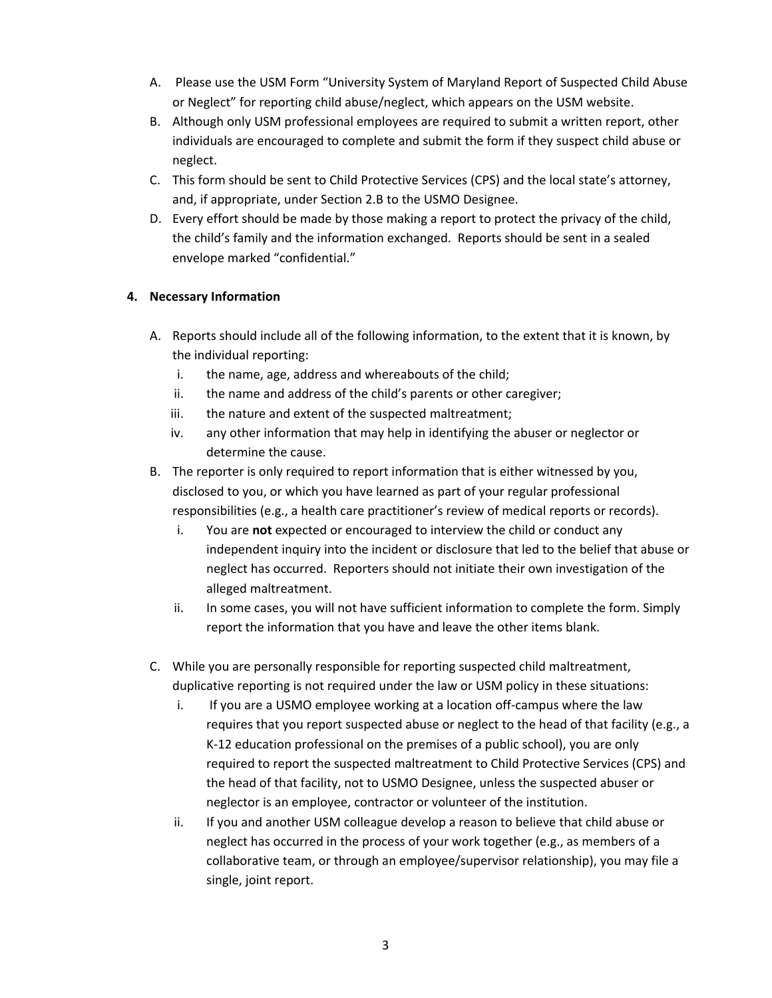- A. Please use the USM Form "University System of Maryland Report of Suspected Child Abuse or Neglect" for reporting child abuse/neglect, which appears on the USM website.
- B. Although only USM professional employees are required to submit a written report, other individuals are encouraged to complete and submit the form if they suspect child abuse or neglect.
- C. This form should be sent to Child Protective Services (CPS) and the local state's attorney, and, if appropriate, under Section 2.B to the USMO Designee.
- D. Every effort should be made by those making a report to protect the privacy of the child, the child's family and the information exchanged. Reports should be sent in a sealed envelope marked "confidential."

#### **4. Necessary Information**

- A. Reports should include all of the following information, to the extent that it is known, by the individual reporting:
	- i. the name, age, address and whereabouts of the child;
	- ii. the name and address of the child's parents or other caregiver;
	- iii. the nature and extent of the suspected maltreatment;
	- iv. any other information that may help in identifying the abuser or neglector or determine the cause.
- B. The reporter is only required to report information that is either witnessed by you, disclosed to you, or which you have learned as part of your regular professional responsibilities (e.g., a health care practitioner's review of medical reports or records).
	- i. You are **not** expected or encouraged to interview the child or conduct any independent inquiry into the incident or disclosure that led to the belief that abuse or neglect has occurred. Reporters should not initiate their own investigation of the alleged maltreatment.
	- ii. In some cases, you will not have sufficient information to complete the form. Simply report the information that you have and leave the other items blank.
- C. While you are personally responsible for reporting suspected child maltreatment, duplicative reporting is not required under the law or USM policy in these situations:
	- i. If you are a USMO employee working at a location off-campus where the law requires that you report suspected abuse or neglect to the head of that facility (e.g., a K‐12 education professional on the premises of a public school), you are only required to report the suspected maltreatment to Child Protective Services (CPS) and the head of that facility, not to USMO Designee, unless the suspected abuser or neglector is an employee, contractor or volunteer of the institution.
	- ii. If you and another USM colleague develop a reason to believe that child abuse or neglect has occurred in the process of your work together (e.g., as members of a collaborative team, or through an employee/supervisor relationship), you may file a single, joint report.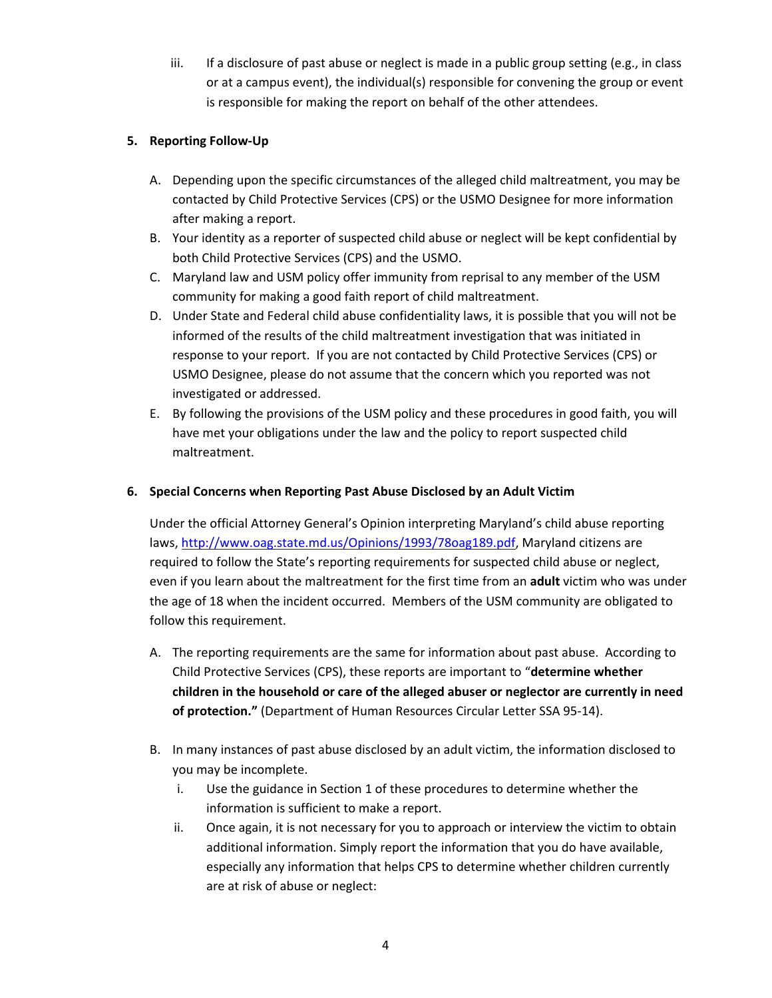iii. If a disclosure of past abuse or neglect is made in a public group setting (e.g., in class or at a campus event), the individual(s) responsible for convening the group or event is responsible for making the report on behalf of the other attendees.

#### **5. Reporting Follow‐Up**

- A. Depending upon the specific circumstances of the alleged child maltreatment, you may be contacted by Child Protective Services (CPS) or the USMO Designee for more information after making a report.
- B. Your identity as a reporter of suspected child abuse or neglect will be kept confidential by both Child Protective Services (CPS) and the USMO.
- C. Maryland law and USM policy offer immunity from reprisal to any member of the USM community for making a good faith report of child maltreatment.
- D. Under State and Federal child abuse confidentiality laws, it is possible that you will not be informed of the results of the child maltreatment investigation that was initiated in response to your report. If you are not contacted by Child Protective Services (CPS) or USMO Designee, please do not assume that the concern which you reported was not investigated or addressed.
- E. By following the provisions of the USM policy and these procedures in good faith, you will have met your obligations under the law and the policy to report suspected child maltreatment.

#### **6. Special Concerns when Reporting Past Abuse Disclosed by an Adult Victim**

Under the official Attorney General's Opinion interpreting Maryland's child abuse reporting laws, http://www.oag.state.md.us/Opinions/1993/78oag189.pdf, Maryland citizens are required to follow the State's reporting requirements for suspected child abuse or neglect, even if you learn about the maltreatment for the first time from an **adult** victim who was under the age of 18 when the incident occurred. Members of the USM community are obligated to follow this requirement.

- A. The reporting requirements are the same for information about past abuse. According to Child Protective Services (CPS), these reports are important to "**determine whether children in the household or care of the alleged abuser or neglector are currently in need of protection."** (Department of Human Resources Circular Letter SSA 95‐14).
- B. In many instances of past abuse disclosed by an adult victim, the information disclosed to you may be incomplete.
	- i. Use the guidance in Section 1 of these procedures to determine whether the information is sufficient to make a report.
	- ii. Once again, it is not necessary for you to approach or interview the victim to obtain additional information. Simply report the information that you do have available, especially any information that helps CPS to determine whether children currently are at risk of abuse or neglect: